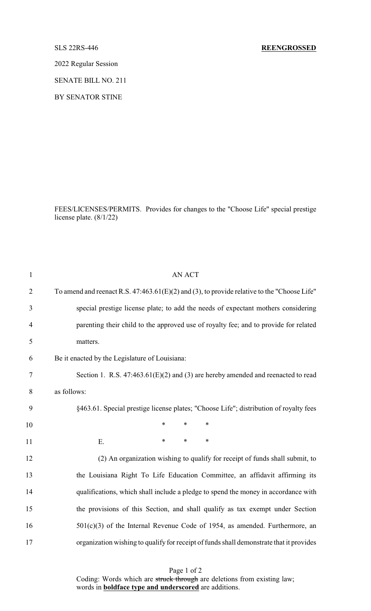## SLS 22RS-446 **REENGROSSED**

2022 Regular Session

SENATE BILL NO. 211

BY SENATOR STINE

FEES/LICENSES/PERMITS. Provides for changes to the "Choose Life" special prestige license plate. (8/1/22)

| $\mathbf{1}$   | <b>AN ACT</b>                                                                                 |
|----------------|-----------------------------------------------------------------------------------------------|
| $\overline{2}$ | To amend and reenact R.S. $47:463.61(E)(2)$ and (3), to provide relative to the "Choose Life" |
| 3              | special prestige license plate; to add the needs of expectant mothers considering             |
| 4              | parenting their child to the approved use of royalty fee; and to provide for related          |
| 5              | matters.                                                                                      |
| 6              | Be it enacted by the Legislature of Louisiana:                                                |
| 7              | Section 1. R.S. $47:463.61(E)(2)$ and (3) are hereby amended and reenacted to read            |
| $8\,$          | as follows:                                                                                   |
| 9              | §463.61. Special prestige license plates; "Choose Life"; distribution of royalty fees         |
| 10             | $\ast$<br>*<br>*                                                                              |
| 11             | $\ast$<br>$\ast$<br>$\ast$<br>Ε.                                                              |
| 12             | (2) An organization wishing to qualify for receipt of funds shall submit, to                  |
| 13             | the Louisiana Right To Life Education Committee, an affidavit affirming its                   |
| 14             | qualifications, which shall include a pledge to spend the money in accordance with            |
| 15             | the provisions of this Section, and shall qualify as tax exempt under Section                 |
| 16             | $501(c)(3)$ of the Internal Revenue Code of 1954, as amended. Furthermore, an                 |
| 17             | organization wishing to qualify for receipt of funds shall demonstrate that it provides       |

Page 1 of 2 Coding: Words which are struck through are deletions from existing law; words in **boldface type and underscored** are additions.